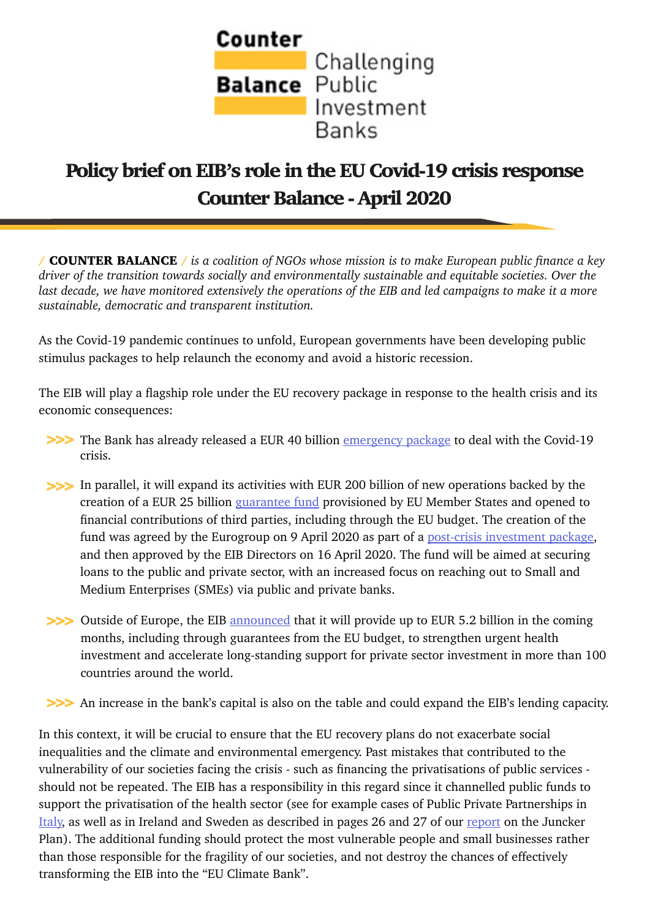

## Policy brief on EIB's role in the EU Covid-19 crisis response Counter Balance - April 2020

/ COUNTER BALANCE / *is a coalition of NGOs whose mission is to make European public finance a key driver of the transition towards socially and environmentally sustainable and equitable societies. Over the*  last decade, we have monitored extensively the operations of the EIB and led campaigns to make it a more *sustainable, democratic and transparent institution.*

As the Covid-19 pandemic continues to unfold, European governments have been developing public stimulus packages to help relaunch the economy and avoid a historic recession.

The EIB will play a flagship role under the EU recovery package in response to the health crisis and its economic consequences:

- **>>>** The Bank has already released a EUR 40 billion *emergency package* to deal with the Covid-19 crisis.
- In parallel, it will expand its activities with EUR 200 billion of new operations backed by the **>>>** creation of a EUR 25 billion [guarantee fund](https://www.eib.org/en/press/all/2020-100-eib-group-establishes-eur-25-billion-guarantee-fund-to-deploy-new-investments-in-response-to-covid-19-crisis) provisioned by EU Member States and opened to financial contributions of third parties, including through the EU budget. The creation of the fund was agreed by the Eurogroup on 9 April 2020 as part of a [post-crisis investment package,](https://www.eib.org/en/press/news/eib-group-welcomes-eurogroup-agreement-for-joint-eu-response-covid-19) and then approved by the EIB Directors on 16 April 2020. The fund will be aimed at securing loans to the public and private sector, with an increased focus on reaching out to Small and Medium Enterprises (SMEs) via public and private banks.
- **>>>** Outside of Europe, the EIB [announced](https://www.eib.org/en/press/all/2020-096-eib-group-contributes-eur-5-2-billion-to-eu-response-to-covid-19-outside-european-union) that it will provide up to EUR 5.2 billion in the coming months, including through guarantees from the EU budget, to strengthen urgent health investment and accelerate long-standing support for private sector investment in more than 100 countries around the world.
- >>>>>>>>> An increase in the bank's capital is also on the table and could expand the EIB's lending capacity.

In this context, it will be crucial to ensure that the EU recovery plans do not exacerbate social inequalities and the climate and environmental emergency. Past mistakes that contributed to the vulnerability of our societies facing the crisis - such as financing the privatisations of public services should not be repeated. The EIB has a responsibility in this regard since it channelled public funds to support the privatisation of the health sector (see for example cases of Public Private Partnerships in [Italy](http://www.counter-balance.org/public-health-eib-amnesia/), as well as in Ireland and Sweden as described in pages 26 and 27 of our [report](https://www.counter-balance.org/wp-content/uploads/2019/09/NGO-report_EFSI_October2019.pdf) on the Juncker Plan). The additional funding should protect the most vulnerable people and small businesses rather than those responsible for the fragility of our societies, and not destroy the chances of effectively transforming the EIB into the "EU Climate Bank".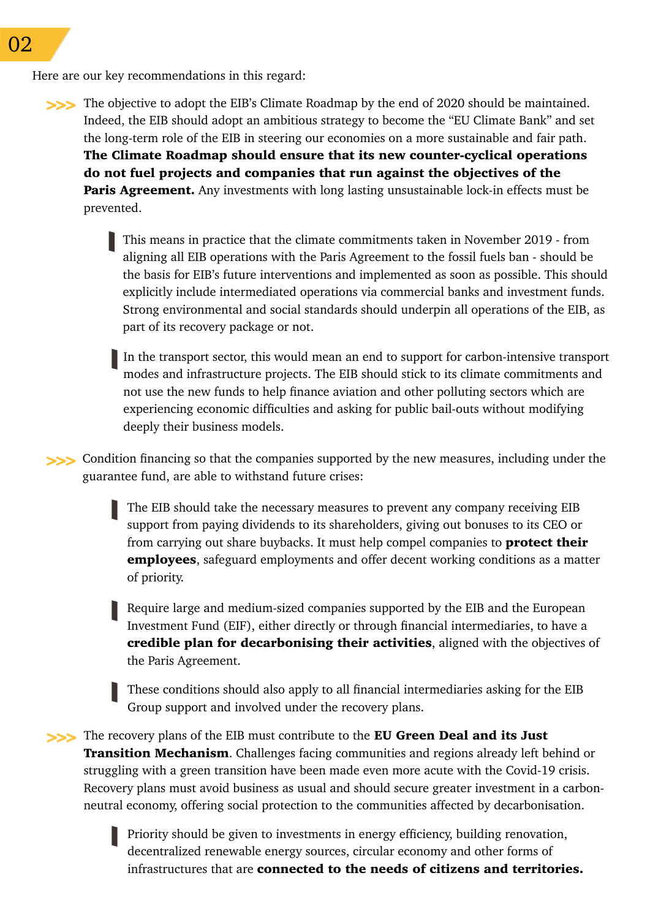Here are our key recommendations in this regard:

The objective to adopt the EIB's Climate Roadmap by the end of 2020 should be maintained. **>>>** Indeed, the EIB should adopt an ambitious strategy to become the "EU Climate Bank" and set the long-term role of the EIB in steering our economies on a more sustainable and fair path. The Climate Roadmap should ensure that its new counter-cyclical operations do not fuel projects and companies that run against the objectives of the **Paris Agreement.** Any investments with long lasting unsustainable lock-in effects must be prevented.

> This means in practice that the climate commitments taken in November 2019 - from aligning all EIB operations with the Paris Agreement to the fossil fuels ban - should be the basis for EIB's future interventions and implemented as soon as possible. This should explicitly include intermediated operations via commercial banks and investment funds. Strong environmental and social standards should underpin all operations of the EIB, as part of its recovery package or not.

In the transport sector, this would mean an end to support for carbon-intensive transport modes and infrastructure projects. The EIB should stick to its climate commitments and not use the new funds to help finance aviation and other polluting sectors which are experiencing economic difficulties and asking for public bail-outs without modifying deeply their business models.

Condition financing so that the companies supported by the new measures, including under the **>>>** guarantee fund, are able to withstand future crises:

> The EIB should take the necessary measures to prevent any company receiving EIB support from paying dividends to its shareholders, giving out bonuses to its CEO or from carrying out share buybacks. It must help compel companies to **protect their** employees, safeguard employments and offer decent working conditions as a matter of priority.

> Require large and medium-sized companies supported by the EIB and the European Investment Fund (EIF), either directly or through financial intermediaries, to have a credible plan for decarbonising their activities, aligned with the objectives of the Paris Agreement.

These conditions should also apply to all financial intermediaries asking for the EIB Group support and involved under the recovery plans.

The recovery plans of the EIB must contribute to the EU Green Deal and its Just **>>>Transition Mechanism.** Challenges facing communities and regions already left behind or struggling with a green transition have been made even more acute with the Covid-19 crisis. Recovery plans must avoid business as usual and should secure greater investment in a carbonneutral economy, offering social protection to the communities affected by decarbonisation.

> Priority should be given to investments in energy efficiency, building renovation, decentralized renewable energy sources, circular economy and other forms of infrastructures that are connected to the needs of citizens and territories.

02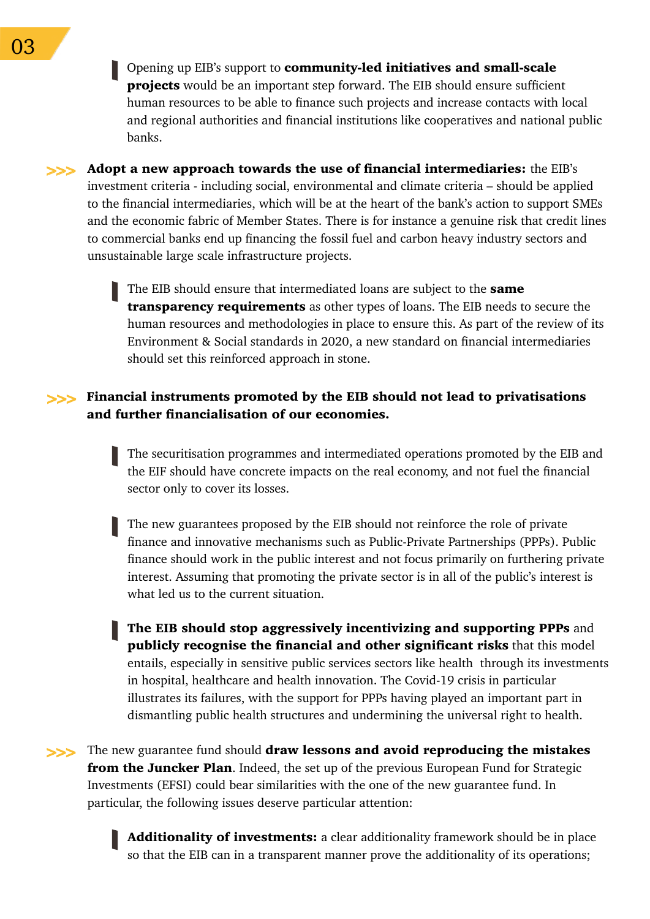Opening up EIB's support to community-led initiatives and small-scale **projects** would be an important step forward. The EIB should ensure sufficient human resources to be able to finance such projects and increase contacts with local and regional authorities and financial institutions like cooperatives and national public banks.

Adopt a new approach towards the use of financial intermediaries: the EIB's **>>>** investment criteria - including social, environmental and climate criteria – should be applied to the financial intermediaries, which will be at the heart of the bank's action to support SMEs and the economic fabric of Member States. There is for instance a genuine risk that credit lines to commercial banks end up financing the fossil fuel and carbon heavy industry sectors and unsustainable large scale infrastructure projects.

> The EIB should ensure that intermediated loans are subject to the same **transparency requirements** as other types of loans. The EIB needs to secure the human resources and methodologies in place to ensure this. As part of the review of its Environment & Social standards in 2020, a new standard on financial intermediaries should set this reinforced approach in stone.

## Financial instruments promoted by the EIB should not lead to privatisations **>>>** and further financialisation of our economies.

The securitisation programmes and intermediated operations promoted by the EIB and the EIF should have concrete impacts on the real economy, and not fuel the financial sector only to cover its losses.

The new guarantees proposed by the EIB should not reinforce the role of private finance and innovative mechanisms such as Public-Private Partnerships (PPPs). Public finance should work in the public interest and not focus primarily on furthering private interest. Assuming that promoting the private sector is in all of the public's interest is what led us to the current situation.

The EIB should stop aggressively incentivizing and supporting PPPs and publicly recognise the financial and other significant risks that this model entails, especially in sensitive public services sectors like health through its investments in hospital, healthcare and health innovation. The Covid-19 crisis in particular illustrates its failures, with the support for PPPs having played an important part in dismantling public health structures and undermining the universal right to health.

The new guarantee fund should draw lessons and avoid reproducing the mistakes **>>>** from the Juncker Plan. Indeed, the set up of the previous European Fund for Strategic Investments (EFSI) could bear similarities with the one of the new guarantee fund. In particular, the following issues deserve particular attention:

> Additionality of investments: a clear additionality framework should be in place so that the EIB can in a transparent manner prove the additionality of its operations;